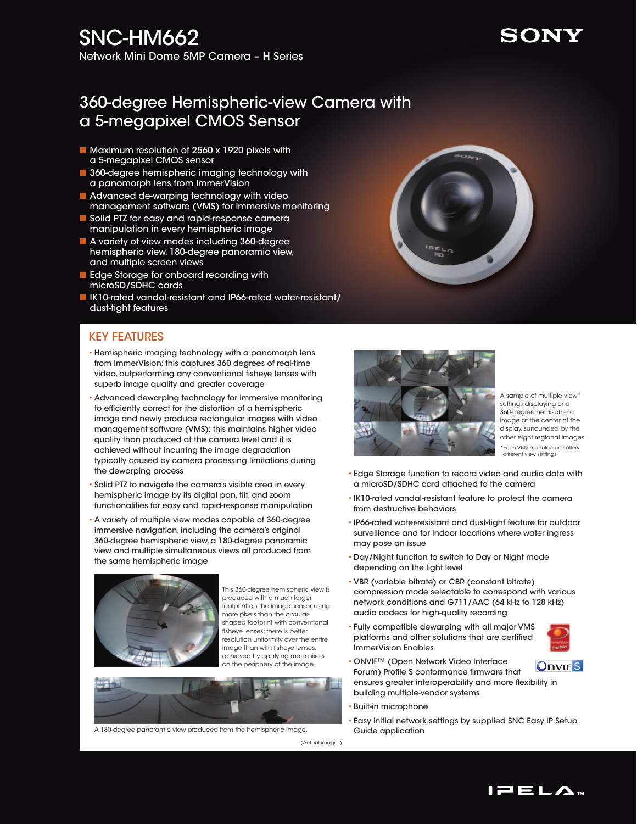# SNC-HM662

Network Mini Dome 5MP Camera – H Series

## 360-degree Hemispheric-view Camera with a 5-megapixel CMOS Sensor

- Maximum resolution of 2560 x 1920 pixels with a 5-megapixel CMOS sensor
- **B** 360-degree hemispheric imaging technology with a panomorph lens from ImmerVision
- **n** Advanced de-warping technology with video management software (VMS) for immersive monitoring
- **n** Solid PTZ for easy and rapid-response camera manipulation in every hemispheric image
- A variety of view modes including 360-degree hemispheric view, 180-degree panoramic view, and multiple screen views
- Edge Storage for onboard recording with microSD/SDHC cards
- IK10-rated vandal-resistant and IP66-rated water-resistant/ dust-tight features

#### Key Features

- Hemispheric imaging technology with a panomorph lens from ImmerVision; this captures 360 degrees of real-time video, outperforming any conventional fisheye lenses with superb image quality and greater coverage
- Advanced dewarping technology for immersive monitoring to efficiently correct for the distortion of a hemispheric image and newly produce rectangular images with video management software (VMS); this maintains higher video quality than produced at the camera level and it is achieved without incurring the image degradation typically caused by camera processing limitations during the dewarping process
- Solid PTZ to navigate the camera's visible area in every hemispheric image by its digital pan, tilt, and zoom functionalities for easy and rapid-response manipulation
- A variety of multiple view modes capable of 360-degree immersive navigation, including the camera's original 360-degree hemispheric view, a 180-degree panoramic view and multiple simultaneous views all produced from the same hemispheric image



This 360-degree hemispheric view is produced with a much larger footprint on the image sensor using more pixels than the circularshaped footprint with conventional fisheye lenses; there is better resolution uniformity over the entire image than with fisheye lenses, achieved by applying more pixels on the periphery of the image.



A 180-degree panoramic view produced from the hemispheric image.



A sample of multiple view\* settings displaying one 360-degree hemispheric image at the center of the display, surrounded by the other eight regional images. \*Each VMS manufacturer offers different view settings.

- Edge Storage function to record video and audio data with a microSD/SDHC card attached to the camera
- IK10-rated vandal-resistant feature to protect the camera from destructive behaviors
- IP66-rated water-resistant and dust-tight feature for outdoor surveillance and for indoor locations where water ingress may pose an issue
- Day/Night function to switch to Day or Night mode depending on the light level
- VBR (variable bitrate) or CBR (constant bitrate) compression mode selectable to correspond with various network conditions and G711/AAC (64 kHz to 128 kHz) audio codecs for high-quality recording
- Fully compatible dewarping with all major VMS platforms and other solutions that are certified ImmerVision Enables



- ONVIF™ (Open Network Video Interface **Onvirs** Forum) Profile S conformance firmware that ensures greater interoperability and more flexibility in building multiple-vendor systems
- Built-in microphone
- Easy initial network settings by supplied SNC Easy IP Setup Guide application

(Actual images)